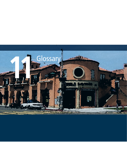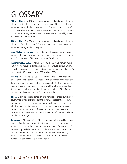## GLOSSARY

**100-year Flood.** The 100-year flooding event is a flood event where the elevation of the flood has a one percent chance of being equaled or exceeded in magnitude in any given year. Contrary to popular belief, it is not a flood occurring once every 100 years. The 100-year floodplain is the area adjoining a river, stream, or watercourse covered by water in the event of a 100-year flood.

**200-year Flood.** The 200-year flooding event is a flood event where the elevation of the flood has a 0.5 percent chance of being equaled or exceeded in magnitude in any given year.

**Area Median Income (AMI).** The midpoint of household income distribution within a metropolitan area or a county, calculated each year by the US Department of Housing and Urban Development.

**Assembly Bill 32 (AB 32).** Assembly Bill 32 is one of California's major initiatives for reducing climate change or greenhouse gas (GHG) emissions that was signed into law in 2006. This effort aims to reduce GHG emissions to 80 percent below 1990 levels by 2050.

**Avenue.** An "Avenue" is a Street Type used in the Mobility Element and is defined as a secondary street. Avenues carry primarily local traffic and also some through traffic. They serve shorter trips and provide access to adjacent land uses. They are local transit corridors, and are the primary bicycle routes and pedestrian routes in the City. Avenues are functionally equivalent to a Secondary Arterial.

**Blight.** Blight describes a condition of deterioration that is sufficiently severe that it materially impedes the continued prosperity or redevelopment of an area. The condition may describe both economic and physical characteristics and often encompasses a range of problems including excessive supplies of vacant and underutilized land and businesses, poor aesthetic conditions, structural deficiencies in a large number of buildings.

**Boulevard.** A "Boulevard" is a Street Type used in the Mobility Element and is defined as a major street that carries both local and through traffic and is expected to carry the highest volumes of traffic in the City. Boulevards provide limited access to adjacent land uses. Boulevards are multi-modal streets that serve as key transit corridors, emergency response routes, and may also serve as truck routes. Boulevards are functionally equivalent to a Primary Arterial.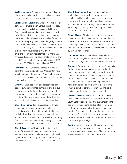**Built Environment.** All man-made components of a city or town, including streets, sidewalks, buildings, parks, open space, and infrastructure.

**Carbon Dioxide Equivalent.** A metric measure used to compare the emissions from various greenhouse gases based upon their global warming potential (GWP). Carbon dioxide equivalents are commonly expressed as "million metric tonnes of carbon dioxide equivalents (MMTCDE)." The carbon dioxide equivalent for a gas is derived by multiplying the tonnes of the gas by the associated GWP. MMTCDE = (million metric tonnes of a gas) \* (GWP of the gas). For example, the GWP for methane is 21 and for nitrous oxide it is 310. This means that emissions of 1 million metric tonnes of methane and nitrous oxide respectively is equivalent to emissions of 21 and 310 million metric tonnes of carbon dioxide. (EEA, based on: IPCC Third Assessment Report, 2001)

**Childcare Center.** Childcare provided in a facility other than the provider's home. Most centers have structured hours of operation. Additionally, childcare centers typically serve larger numbers of children than a family childcare home.

**Civic Use.** A use dedicated to public services, education, cultural performance, gatherings and displays administered by the City, other government entities, or non-profit cultural, educational, or religious organizations. Civic uses are comprised of public facilities, such as City Hall, libraries and community facilities.

**Class I Bicycle Lane.** This is a separate right-of-way designated for the exclusive use of bicycles and pedestrians. Cross-flows with motorized vehicles are minimized. While a bike path or trail may be located adjacent to a city street, it will typically be located away from city streets in a separate right-of-way. A bike path is paved while a bike trail is usually an unpaved surface.

**Class II Bicycle Lane.** This is a restricted area at the edge of a street designated for the exclusive or semi-exclusive use of bicycles where through travel by motorized vehicles is prohibited. Cross-flows by motorized vehicles and pedestrians are permitted.

**Class III Bicycle Lane.** This is a signed street providing for shared use of a street by motor vehicles and bicyclists. While bicyclists have no exclusive use or priority, the signage (both by the side of the street and stenciled on the roadway surface) warns motorists of bicyclists sharing the roadway space. These streets are called "Bike Streets."

**Climate Change.** This is a change in the average state or variability of the climate that can be identified using statistical tests, and that persists for an extended period, typically decades. Some changes can be due to natural internal processes, while others are caused by human-induced changes.

**Commercial Use.** Commercial use covers a broad spectrum of uses generally considered to be businessrelated, including retail, office, and service commercial.

**Corridor.** A Corridor is a term used in the Community Design Element that describes an area of the City that connects Districts and Neighborhoods. Corridors are often both transportation thoroughfares and the site of commercial and residential use. In this General Plan, a Corridor is a regulatory geography. Each Corridor identifies one or more allowable "Place Type," which in turn has density requirements and policy guidance for the character of development.

**Corridor Transition Overlay.** The Corridor Transition Overlay demarcates parcels adjacent to Corridors in South Gate which are subject to the Corridor Transition Overlay regulations, as illustrated in Figure CD 8. These overlay areas allow for parcels that are not fronting Corridors to be developed as part of a project on the Corridor. It is a strategy to overcome the issues of parcels that lack sufficient depth for conventional development projects.

**Density.** Density is the ratio of housing units per net acre of land. Net acres are calculated as the total/ gross site area minus the amount of land set aside for streets, easements or required open space.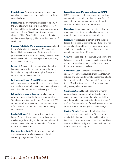**Density Bonus.** An incentive in specified areas that permits developers to build at a higher density than normally allowed.

**District.** Districts are more intense areas of activity in the City, often with a specific character or focus. In this General Plan, a District is a regulatory geography, and each different District identifies one or more allowable "Place Type," which in turn has density requirements and policy guidance for the character of development.

**Diversion Rate (Solid Waste measurement).** As defined by the California Integrated Waste Management Board, this is the percentage of total waste that a jurisdiction diverts from landfill through any combination of source reduction (waste prevention), recycling, reuse and/or composting.

**Easement.** A piece or strip of land where the public in general has the right to pass or access, including but not limited to public streets, right-of-ways, and infrastructure or utility easements.

**Environmental Impact Report (EIR).** A state-mandated written assessment of the positive and negative environmental effects of a development project, required pursuant to the California Environmental Quality Act (CEQA).

**Extremely Low Income Housing.** For planning purposes and qualification for housing programs, the State Department of Housing and Community (HCD) defines household income as "Extremely Low" when it falls below 30 percent of County Median Family Income (MFI).

**Family Childcare.** Childcare provided in a private home. Family childcare homes can be licensed as small or large depending on the number and ages of children served. The maximum number of children that can be served is 14.

**Floor Area Ratio (FAR).** The total gross area of all structures on a lot, excluding accessory buildings, divided by the gross area of the lot.

## **Federal Emergency Management Agency (FEMA).**

FEMA coordinates the federal government's role in preparing for, preventing, mitigating the effects of, responding to, and recovering from all domestic disasters, whether natural or man-made.

**Floodplain.** The drainage basin on either side of a river channel that is prone to flooding based on a river's fluctuating water volume and velocity.

**Forecourt.** A forecourt is a portion of the building façade that is close to the front property line and has its central portion set back. The forecourt may be suitable for vehicular drop-offs or landscaped courtyards in multi-family or office uses.

**Goal.** When used as part of the Goals, Objectives and Policies sections of the General Plan elements, a Goal is a general direction setter. It is a long-term vision that may or may not be realized.

**Government Code.** California Law consists of 29 codes, covering various subject areas, the State Constitution and Statutes. Information presented reflects laws currently in effect. Government Code is one of those 29 codes. It governs Local Government planning among other subject areas.

**Greenhouse Gases.** Naturally occurring or humanproduced gases, including carbon dioxide, nitrous oxide, methane, and ozone, that allow sunlight to pass through but trap heat radiated from the earth's surface. The accumulation of greenhouse gases in the atmosphere is a cause of global climate change.

**Guiding Principle.** A statement that articulates a shared value and strategy for the City and serves as a basis for integrated decision making. Guiding Principles constitute the rules, constraints, overriding criteria, and behaviors by which the City abides in its daily activities in the long term.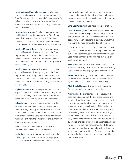**Housing, Above Moderate Income.** For planning purposes and qualification for housing programs, the State Department of Housing and Community (HCD) defines household income as "Above Moderate" when it is above 120 percent of County Median Family Income (MFI).

**Housing, Low Income.** For planning purposes and qualification for housing programs, the State Department of Housing and Community (HCD) defines household income as "Low" when it falls between 51 and 80 percent of County Median Family Income (MFI).

**Housing, Moderate Income.** For planning purposes and qualification for housing programs, the State Department of Housing and Community (HCD) defines household income as "Moderate" when it falls between 81 and 120 percent of County Median Family Income (MFI).

**Housing, Very Low Income.** For planning purposes and qualification for housing programs, the State Department of Housing and Community (HCD) defines household income as "Very Low" when it falls between 31 and 50 percent of County Median Family Income (MFI).

**Implementation Action.** An Implementation Action is a specific task the City will undertake to carry out an Objective or Policy. Implementation Actions include details about how the action is to be undertaken.

**Industrial Use.** Industrial uses encompass a wide variety of commercial concerns typically related to manufacturing and large scale concerns that are not compatible with residential or other sensitive development types. Industrial uses may include heavy manufacturing, light industrial, warehouse and distribution among other classifications.

**Infill.** A site with a perimeter that completely or mostly borders previously developed sites.

**Institutional Use.** Institutional uses are identified as public or private operations with a social purpose, such as education, medical or mental health, community building or cultural/civic spaces. Institutional uses must be open to the public at large, although they may be targeted to a specific population and be privately owned or operated.

**Land Use Designation.** See Place Type Designation.

Level of Service (LOS). A measure of the efficiency of a section of roadway, expressed by a letter designation (A through F). LOS A represents the most unimpeded flow of vehicles along a roadway, while LOS F represents the most congested flow of vehicles.

**Local Road.** A "Local Road," as defined in the Mobility Element, serves local land uses, typically residential but can also serve industrial and/or commercial uses. Local roads carry low traffic volumes that are exclusively locally-oriented.

**May.** When used in a Policy or Implementation Action in the General Plan, "may" indicates that the City may use its discretion about applying the policy or action.

**Mixed Use.** A building or site that contains multiple land uses, often residential units with retail, office, or light industrial space within the same building.

**Mulit-Family Housing.** Residential buildings designed for occupation by more than one family.

**Neighborhood.** Neighborhood is a concept which describes a basic unit of the City that is unique and identifiable and contains a neighborhood center with a pedestrian-friendly mix of uses and a range of housing types for people in all stages of life. Neighborhoods are often defined as the area within a quarter mile walking distance from the center to the edge, within which most residents can walk to meet their daily needs. Neighborhoods are also often bounded by physical characteristics, such as major roadways or railroads. It is common for neighborhoods to have overlapping boundaries, especially as these boundaries are perceived by residents. Thus, specific boundaries for individual neighborhoods are not identified in this General Plan.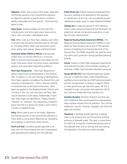**Objective.** When used as part of the Goals, Objectives and Policies sections of the General Plan elements, an Objective indicates a specific end or condition – ideally, measurable and time-specific – that will bring about a Goal.

**Open Space.** A broad category of land uses that includes parks, and other open space areas such as rivers, trails, and other undeveloped lands.

**Park.** When used as a Place Type category, park refers to all park and recreational facilities open to the public, including athletic fields, play equipment, picnic areas, grassy open spaces, plazas and bicycle lanes.

**Particulate Matter (PM10 or PM2.5).** Solid particles smaller than 10 microns (PM10) or 2.5 microns (PM2.5) that are small enough to enter deep into the lungs. Particulate matter can cause cancer, exacerbate asthma, and cause other respiratory problems.

**Place Type Designation.** Place Type designations replace typical land use designations in this General Plan. In addition to use and intensity of development, Place Types regulate and address the desired form and character of development. That is, they also identify a third dimension to the built environment. Place Types are applied to the Neighborhoods, Districts and Corridors in the City and more than one Place Type may be allowed in some areas. Additionally, in each area, Place Types are identified as "Highly Desired," "Desired" or "Allowed" thus presenting a hierarchy places that the City desires to create in each District, Corridor or Neighborhood.

**Policy.** When used as part of the Goals, Objectives and Policies sections of the General Plan elements, a Policy seeks to bring about Objectives by mandating, encouraging, or permitting certain actions.

**Porch and Yard.** A building façade type that is set back from the front property line with a landscaped yard separating the building from the sidewalk.

**Public Works Use.** Publicly owned and operated infrastructure, building or lot dedicated to the operation or maintenance of the City, such as publically-owned maintenance yards, sewer or water treatment facilities.

**Quimby Act.** A state law passed in 1975 allowing cities to pass ordinances requiring that developers set aside land, donate conservation easements, or pay fees for park improvements.

**Regional Housing Needs Assessment (RHNA).** The Regional Housing Needs Assessment (RHNA) is mandated by State Housing Law as part of the periodic process of updating local housing elements of the General Plan. The RHNA quantifies the need for housing within each jurisdiction during specified planning periods.

**School.** School is a Place Type designation reserved for land reserved for public school facilities including, elementary, middle, high and adult education campuses.

**Senate Bill (SB 375).** Multi-faceted legislation signed into law in 2008 that offers CEQA streamlining to qualifying transit-oriented and VMT-reducing projects, and ties transportation funding to a region's efforts to meet greenhouse gas reduction goals. SB 375 is intended to help curb sprawl and implement AB 32, the California Global Warming Solutions Act.

**Sensitive Receptor.** Sensitive receptors are land uses with inhabitants that would experience disproportionately negative impacts from air pollution. They include residences, schools, churches, hospitals, and child and elder care facilities.

**Shopfront.** A building facade type that is aligned close to the property line with the primary building entrance at sidewalk grade. This type is conventional for retail use. It requires a substantial glazing area at the sidewalk level, and an awning that may overlap the sidewalk to the maximum extent possible.